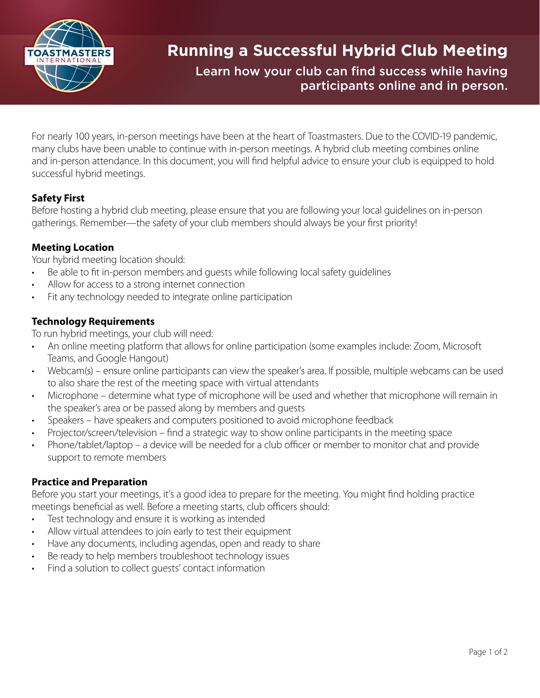

# **Running a Successful Hybrid Club Meeting**

Learn how your club can find success while having participants online and in person.

For nearly 100 years, in-person meetings have been at the heart of Toastmasters. Due to the COVID-19 pandemic, many clubs have been unable to continue with in-person meetings. A hybrid club meeting combines online and in-person attendance. In this document, you will find helpful advice to ensure your club is equipped to hold successful hybrid meetings.

# **Safety First**

Before hosting a hybrid club meeting, please ensure that you are following your local guidelines on in-person gatherings. Remember—the safety of your club members should always be your first priority!

### **Meeting Location**

Your hybrid meeting location should:

- Be able to fit in-person members and quests while following local safety quidelines
- Allow for access to a strong internet connection
- Fit any technology needed to integrate online participation

## **Technology Requirements**

To run hybrid meetings, your club will need:

- An online meeting platform that allows for online participation (some examples include: Zoom, Microsoft Teams, and Google Hangout)
- Webcam(s) ensure online participants can view the speaker's area. If possible, multiple webcams can be used to also share the rest of the meeting space with virtual attendants
- Microphone determine what type of microphone will be used and whether that microphone will remain in the speaker's area or be passed along by members and guests
- Speakers have speakers and computers positioned to avoid microphone feedback
- Projector/screen/television find a strategic way to show online participants in the meeting space
- Phone/tablet/laptop a device will be needed for a club officer or member to monitor chat and provide support to remote members

### **Practice and Preparation**

Before you start your meetings, it's a good idea to prepare for the meeting. You might find holding practice meetings beneficial as well. Before a meeting starts, club officers should:

- Test technology and ensure it is working as intended
- Allow virtual attendees to join early to test their equipment
- Have any documents, including agendas, open and ready to share
- Be ready to help members troubleshoot technology issues
- Find a solution to collect quests' contact information